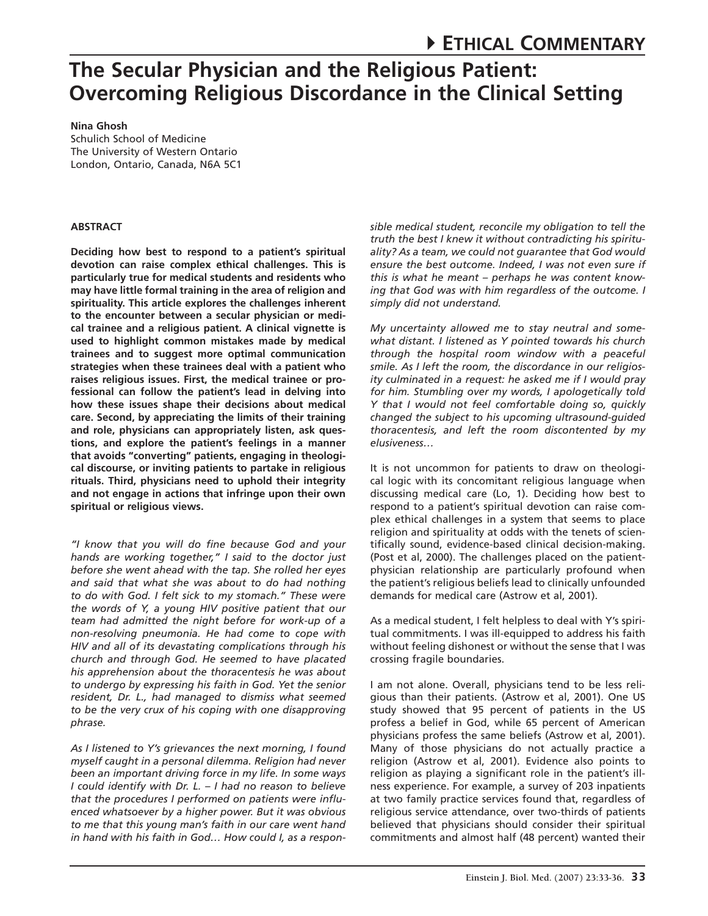## **Nina Ghosh**

Schulich School of Medicine The University of Western Ontario London, Ontario, Canada, N6A 5C1

## **Abstract**

**Deciding how best to respond to a patient's spiritual devotion can raise complex ethical challenges. This is particularly true for medical students and residents who may have little formal training in the area of religion and spirituality. This article explores the challenges inherent to the encounter between a secular physician or medical trainee and a religious patient. A clinical vignette is used to highlight common mistakes made by medical trainees and to suggest more optimal communication strategies when these trainees deal with a patient who raises religious issues. First, the medical trainee or professional can follow the patient's lead in delving into how these issues shape their decisions about medical care. Second, by appreciating the limits of their training and role, physicians can appropriately listen, ask questions, and explore the patient's feelings in a manner that avoids "converting" patients, engaging in theological discourse, or inviting patients to partake in religious rituals. Third, physicians need to uphold their integrity and not engage in actions that infringe upon their own spiritual or religious views.** 

*"I know that you will do fine because God and your hands are working together," I said to the doctor just before she went ahead with the tap. She rolled her eyes and said that what she was about to do had nothing to do with God. I felt sick to my stomach." These were the words of Y, a young HIV positive patient that our team had admitted the night before for work-up of a non-resolving pneumonia. He had come to cope with HIV and all of its devastating complications through his church and through God. He seemed to have placated his apprehension about the thoracentesis he was about to undergo by expressing his faith in God. Yet the senior resident, Dr. L., had managed to dismiss what seemed to be the very crux of his coping with one disapproving phrase.* 

*As I listened to Y's grievances the next morning, I found myself caught in a personal dilemma. Religion had never been an important driving force in my life. In some ways I could identify with Dr. L. – I had no reason to believe that the procedures I performed on patients were influenced whatsoever by a higher power. But it was obvious to me that this young man's faith in our care went hand in hand with his faith in God… How could I, as a respon-*

*sible medical student, reconcile my obligation to tell the truth the best I knew it without contradicting his spirituality? As a team, we could not guarantee that God would ensure the best outcome. Indeed, I was not even sure if this is what he meant – perhaps he was content knowing that God was with him regardless of the outcome. I simply did not understand.*

*My uncertainty allowed me to stay neutral and somewhat distant. I listened as Y pointed towards his church through the hospital room window with a peaceful smile. As I left the room, the discordance in our religiosity culminated in a request: he asked me if I would pray for him. Stumbling over my words, I apologetically told Y that I would not feel comfortable doing so, quickly changed the subject to his upcoming ultrasound-guided thoracentesis, and left the room discontented by my elusiveness…*

It is not uncommon for patients to draw on theological logic with its concomitant religious language when discussing medical care (Lo, 1). Deciding how best to respond to a patient's spiritual devotion can raise complex ethical challenges in a system that seems to place religion and spirituality at odds with the tenets of scientifically sound, evidence-based clinical decision-making. (Post et al, 2000). The challenges placed on the patientphysician relationship are particularly profound when the patient's religious beliefs lead to clinically unfounded demands for medical care (Astrow et al, 2001).

As a medical student, I felt helpless to deal with Y's spiritual commitments. I was ill-equipped to address his faith without feeling dishonest or without the sense that I was crossing fragile boundaries.

I am not alone. Overall, physicians tend to be less religious than their patients. (Astrow et al, 2001). One US study showed that 95 percent of patients in the US profess a belief in God, while 65 percent of American physicians profess the same beliefs (Astrow et al, 2001). Many of those physicians do not actually practice a religion (Astrow et al, 2001). Evidence also points to religion as playing a significant role in the patient's illness experience. For example, a survey of 203 inpatients at two family practice services found that, regardless of religious service attendance, over two-thirds of patients believed that physicians should consider their spiritual commitments and almost half (48 percent) wanted their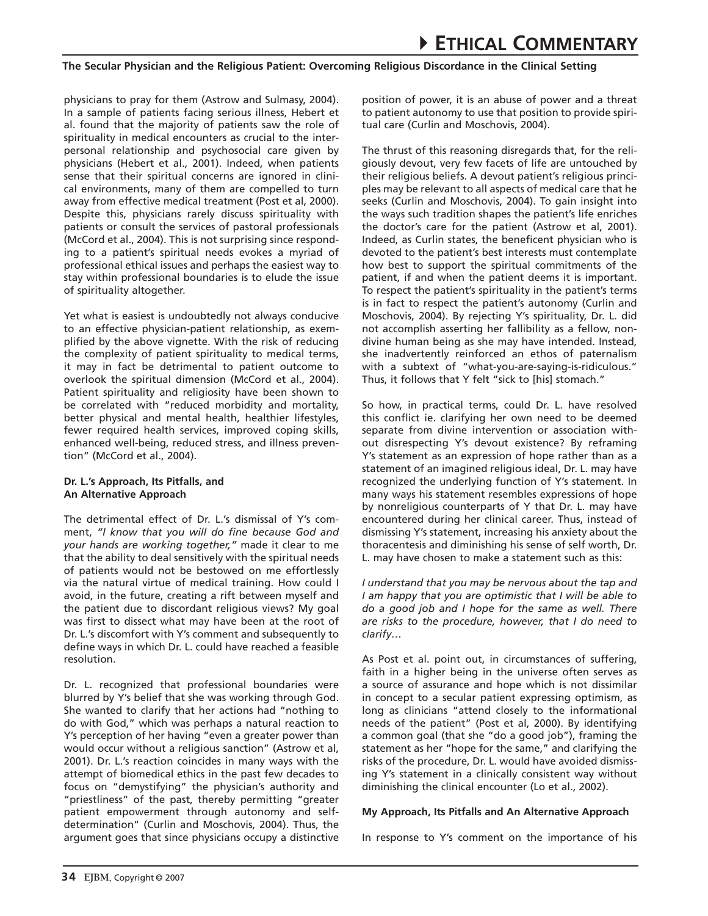physicians to pray for them (Astrow and Sulmasy, 2004). In a sample of patients facing serious illness, Hebert et al. found that the majority of patients saw the role of spirituality in medical encounters as crucial to the interpersonal relationship and psychosocial care given by physicians (Hebert et al., 2001). Indeed, when patients sense that their spiritual concerns are ignored in clinical environments, many of them are compelled to turn away from effective medical treatment (Post et al, 2000). Despite this, physicians rarely discuss spirituality with patients or consult the services of pastoral professionals (McCord et al., 2004). This is not surprising since responding to a patient's spiritual needs evokes a myriad of professional ethical issues and perhaps the easiest way to stay within professional boundaries is to elude the issue of spirituality altogether.

Yet what is easiest is undoubtedly not always conducive to an effective physician-patient relationship, as exemplified by the above vignette. With the risk of reducing the complexity of patient spirituality to medical terms, it may in fact be detrimental to patient outcome to overlook the spiritual dimension (McCord et al., 2004). Patient spirituality and religiosity have been shown to be correlated with "reduced morbidity and mortality, better physical and mental health, healthier lifestyles, fewer required health services, improved coping skills, enhanced well-being, reduced stress, and illness prevention" (McCord et al., 2004).

#### **Dr. L.'s Approach, Its Pitfalls, and An Alternative Approach**

The detrimental effect of Dr. L.'s dismissal of Y's comment, *"I know that you will do fine because God and your hands are working together,"* made it clear to me that the ability to deal sensitively with the spiritual needs of patients would not be bestowed on me effortlessly via the natural virtue of medical training. How could I avoid, in the future, creating a rift between myself and the patient due to discordant religious views? My goal was first to dissect what may have been at the root of Dr. L.'s discomfort with Y's comment and subsequently to define ways in which Dr. L. could have reached a feasible resolution.

Dr. L. recognized that professional boundaries were blurred by Y's belief that she was working through God. She wanted to clarify that her actions had "nothing to do with God," which was perhaps a natural reaction to Y's perception of her having "even a greater power than would occur without a religious sanction" (Astrow et al, 2001). Dr. L.'s reaction coincides in many ways with the attempt of biomedical ethics in the past few decades to focus on "demystifying" the physician's authority and "priestliness" of the past, thereby permitting "greater patient empowerment through autonomy and selfdetermination" (Curlin and Moschovis, 2004). Thus, the argument goes that since physicians occupy a distinctive position of power, it is an abuse of power and a threat to patient autonomy to use that position to provide spiritual care (Curlin and Moschovis, 2004).

The thrust of this reasoning disregards that, for the religiously devout, very few facets of life are untouched by their religious beliefs. A devout patient's religious principles may be relevant to all aspects of medical care that he seeks (Curlin and Moschovis, 2004). To gain insight into the ways such tradition shapes the patient's life enriches the doctor's care for the patient (Astrow et al, 2001). Indeed, as Curlin states, the beneficent physician who is devoted to the patient's best interests must contemplate how best to support the spiritual commitments of the patient, if and when the patient deems it is important. To respect the patient's spirituality in the patient's terms is in fact to respect the patient's autonomy (Curlin and Moschovis, 2004). By rejecting Y's spirituality, Dr. L. did not accomplish asserting her fallibility as a fellow, nondivine human being as she may have intended. Instead, she inadvertently reinforced an ethos of paternalism with a subtext of "what-you-are-saying-is-ridiculous." Thus, it follows that Y felt "sick to [his] stomach."

So how, in practical terms, could Dr. L. have resolved this conflict ie. clarifying her own need to be deemed separate from divine intervention or association without disrespecting Y's devout existence? By reframing Y's statement as an expression of hope rather than as a statement of an imagined religious ideal, Dr. L. may have recognized the underlying function of Y's statement. In many ways his statement resembles expressions of hope by nonreligious counterparts of Y that Dr. L. may have encountered during her clinical career. Thus, instead of dismissing Y's statement, increasing his anxiety about the thoracentesis and diminishing his sense of self worth, Dr. L. may have chosen to make a statement such as this:

*I understand that you may be nervous about the tap and I am happy that you are optimistic that I will be able to do a good job and I hope for the same as well. There are risks to the procedure, however, that I do need to clarify…* 

As Post et al. point out, in circumstances of suffering, faith in a higher being in the universe often serves as a source of assurance and hope which is not dissimilar in concept to a secular patient expressing optimism, as long as clinicians "attend closely to the informational needs of the patient" (Post et al, 2000). By identifying a common goal (that she "do a good job"), framing the statement as her "hope for the same," and clarifying the risks of the procedure, Dr. L. would have avoided dismissing Y's statement in a clinically consistent way without diminishing the clinical encounter (Lo et al., 2002).

### **My Approach, Its Pitfalls and An Alternative Approach**

In response to Y's comment on the importance of his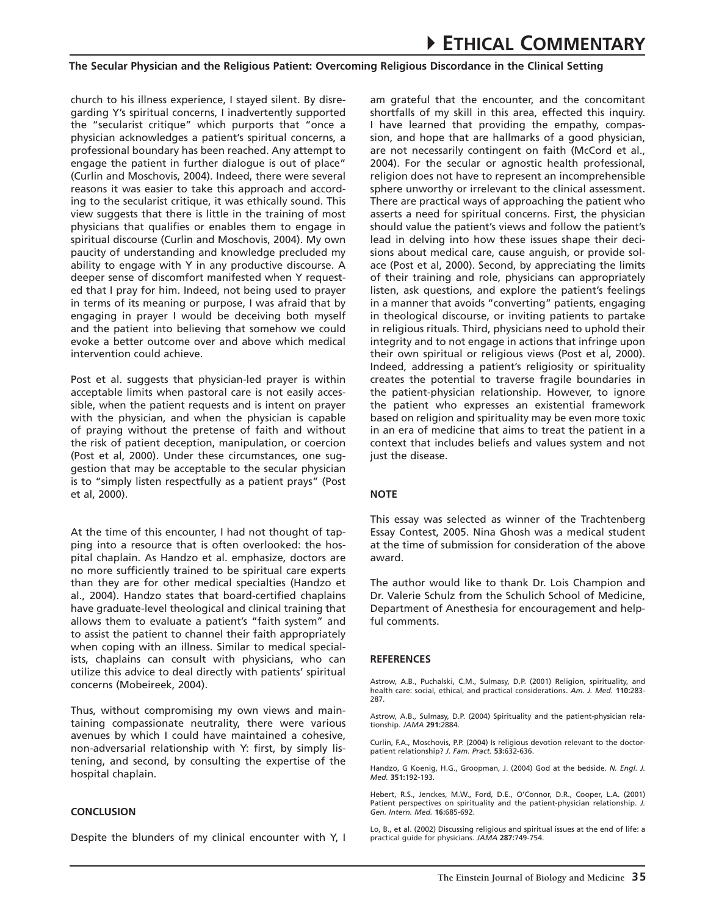church to his illness experience, I stayed silent. By disregarding Y's spiritual concerns, I inadvertently supported the "secularist critique" which purports that "once a physician acknowledges a patient's spiritual concerns, a professional boundary has been reached. Any attempt to engage the patient in further dialogue is out of place" (Curlin and Moschovis, 2004). Indeed, there were several reasons it was easier to take this approach and according to the secularist critique, it was ethically sound. This view suggests that there is little in the training of most physicians that qualifies or enables them to engage in spiritual discourse (Curlin and Moschovis, 2004). My own paucity of understanding and knowledge precluded my ability to engage with Y in any productive discourse. A deeper sense of discomfort manifested when Y requested that I pray for him. Indeed, not being used to prayer in terms of its meaning or purpose, I was afraid that by engaging in prayer I would be deceiving both myself and the patient into believing that somehow we could evoke a better outcome over and above which medical intervention could achieve.

Post et al. suggests that physician-led prayer is within acceptable limits when pastoral care is not easily accessible, when the patient requests and is intent on prayer with the physician, and when the physician is capable of praying without the pretense of faith and without the risk of patient deception, manipulation, or coercion (Post et al, 2000). Under these circumstances, one suggestion that may be acceptable to the secular physician is to "simply listen respectfully as a patient prays" (Post et al, 2000).

At the time of this encounter, I had not thought of tapping into a resource that is often overlooked: the hospital chaplain. As Handzo et al. emphasize, doctors are no more sufficiently trained to be spiritual care experts than they are for other medical specialties (Handzo et al., 2004). Handzo states that board-certified chaplains have graduate-level theological and clinical training that allows them to evaluate a patient's "faith system" and to assist the patient to channel their faith appropriately when coping with an illness. Similar to medical specialists, chaplains can consult with physicians, who can utilize this advice to deal directly with patients' spiritual concerns (Mobeireek, 2004).

Thus, without compromising my own views and maintaining compassionate neutrality, there were various avenues by which I could have maintained a cohesive, non-adversarial relationship with Y: first, by simply listening, and second, by consulting the expertise of the hospital chaplain.

#### **Conclusion**

Despite the blunders of my clinical encounter with Y, I

am grateful that the encounter, and the concomitant shortfalls of my skill in this area, effected this inquiry. I have learned that providing the empathy, compassion, and hope that are hallmarks of a good physician, are not necessarily contingent on faith (McCord et al., 2004). For the secular or agnostic health professional, religion does not have to represent an incomprehensible sphere unworthy or irrelevant to the clinical assessment. There are practical ways of approaching the patient who asserts a need for spiritual concerns. First, the physician should value the patient's views and follow the patient's lead in delving into how these issues shape their decisions about medical care, cause anguish, or provide solace (Post et al, 2000). Second, by appreciating the limits of their training and role, physicians can appropriately listen, ask questions, and explore the patient's feelings in a manner that avoids "converting" patients, engaging in theological discourse, or inviting patients to partake in religious rituals. Third, physicians need to uphold their integrity and to not engage in actions that infringe upon their own spiritual or religious views (Post et al, 2000). Indeed, addressing a patient's religiosity or spirituality creates the potential to traverse fragile boundaries in the patient-physician relationship. However, to ignore the patient who expresses an existential framework based on religion and spirituality may be even more toxic in an era of medicine that aims to treat the patient in a context that includes beliefs and values system and not just the disease.

#### **Note**

This essay was selected as winner of the Trachtenberg Essay Contest, 2005. Nina Ghosh was a medical student at the time of submission for consideration of the above award.

The author would like to thank Dr. Lois Champion and Dr. Valerie Schulz from the Schulich School of Medicine, Department of Anesthesia for encouragement and helpful comments.

#### **References**

Astrow, A.B., Puchalski, C.M., Sulmasy, D.P. (2001) Religion, spirituality, and health care: social, ethical, and practical considerations. *Am. J. Med.* **110:**283- 287.

Astrow, A.B., Sulmasy, D.P. (2004) Spirituality and the patient-physician relationship. *JAMA* **291:**2884.

Curlin, F.A., Moschovis, P.P. (2004) Is religious devotion relevant to the doctorpatient relationship? *J. Fam. Pract.* **53:**632-636.

Handzo, G Koenig, H.G., Groopman, J. (2004) God at the bedside. *N. Engl. J. Med.* **351:**192-193.

Hebert, R.S., Jenckes, M.W., Ford, D.E., O'Connor, D.R., Cooper, L.A. (2001) Patient perspectives on spirituality and the patient-physician relationship. *J. Gen. Intern. Med.* **16:**685-692.

Lo, B., et al. (2002) Discussing religious and spiritual issues at the end of life: a practical guide for physicians. *JAMA* **287:**749-754.